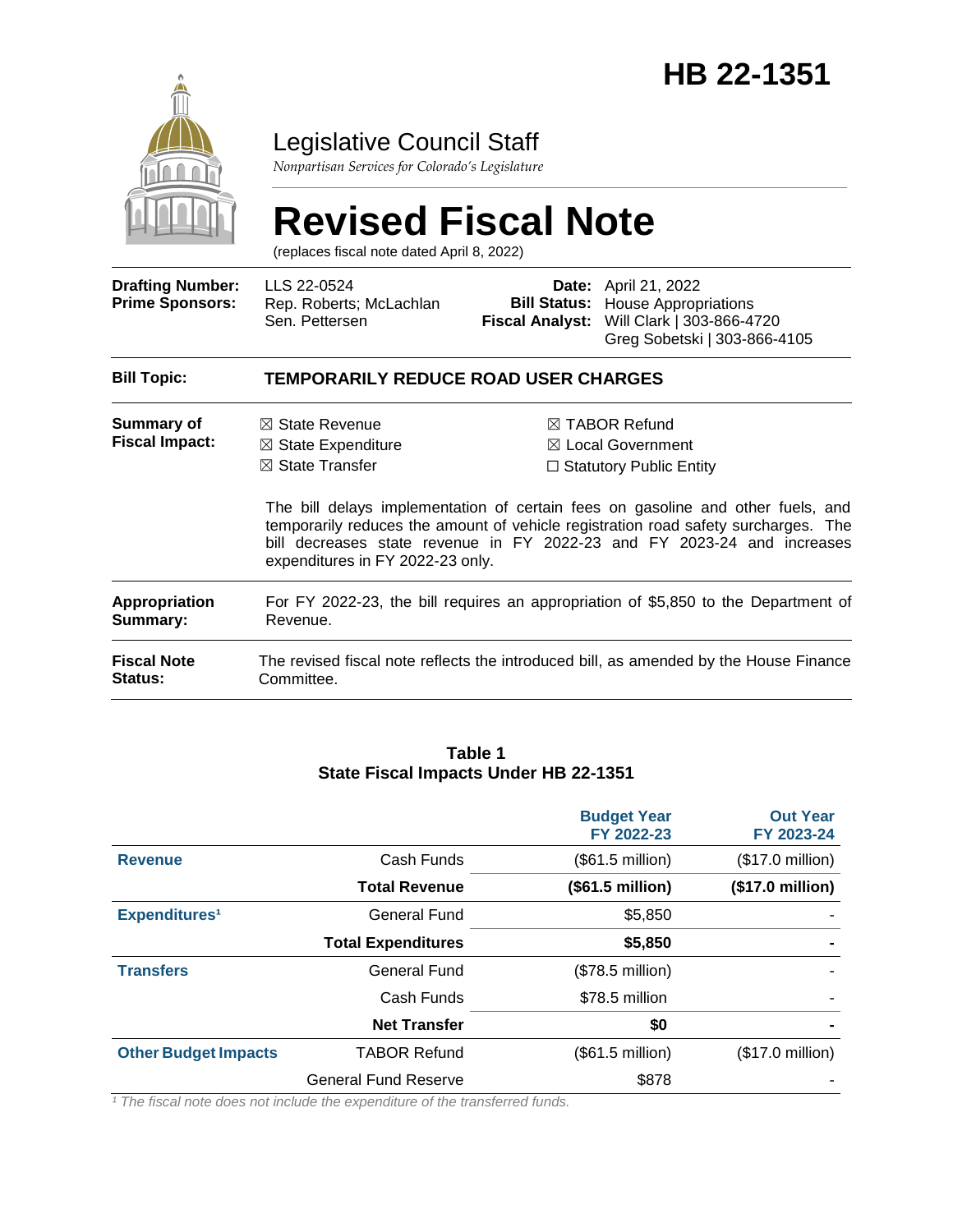

# Legislative Council Staff

*Nonpartisan Services for Colorado's Legislature*

# **Revised Fiscal Note**

(replaces fiscal note dated April 8, 2022)

| <b>Drafting Number:</b><br><b>Prime Sponsors:</b> | LLS 22-0524<br>Rep. Roberts; McLachlan<br>Sen. Pettersen                                                                     | <b>Fiscal Analyst:</b> | <b>Date:</b> April 21, 2022<br><b>Bill Status:</b> House Appropriations<br>Will Clark   303-866-4720<br>Greg Sobetski   303-866-4105                                                                                                                                                                                                           |
|---------------------------------------------------|------------------------------------------------------------------------------------------------------------------------------|------------------------|------------------------------------------------------------------------------------------------------------------------------------------------------------------------------------------------------------------------------------------------------------------------------------------------------------------------------------------------|
| <b>Bill Topic:</b>                                | <b>TEMPORARILY REDUCE ROAD USER CHARGES</b>                                                                                  |                        |                                                                                                                                                                                                                                                                                                                                                |
| Summary of<br><b>Fiscal Impact:</b>               | $\boxtimes$ State Revenue<br>$\boxtimes$ State Expenditure<br>$\boxtimes$ State Transfer<br>expenditures in FY 2022-23 only. |                        | $\boxtimes$ TABOR Refund<br>$\boxtimes$ Local Government<br>$\Box$ Statutory Public Entity<br>The bill delays implementation of certain fees on gasoline and other fuels, and<br>temporarily reduces the amount of vehicle registration road safety surcharges. The<br>bill decreases state revenue in FY 2022-23 and FY 2023-24 and increases |
| <b>Appropriation</b><br>Summary:                  | For FY 2022-23, the bill requires an appropriation of \$5,850 to the Department of<br>Revenue.                               |                        |                                                                                                                                                                                                                                                                                                                                                |
| <b>Fiscal Note</b><br><b>Status:</b>              | Committee.                                                                                                                   |                        | The revised fiscal note reflects the introduced bill, as amended by the House Finance                                                                                                                                                                                                                                                          |

#### **Table 1 State Fiscal Impacts Under HB 22-1351**

|                             |                             | <b>Budget Year</b><br>FY 2022-23 | <b>Out Year</b><br>FY 2023-24 |
|-----------------------------|-----------------------------|----------------------------------|-------------------------------|
| <b>Revenue</b>              | Cash Funds                  | (\$61.5 million)                 | $($17.0 \text{ million})$     |
|                             | <b>Total Revenue</b>        | (\$61.5 million)                 | (\$17.0 million)              |
| Expenditures <sup>1</sup>   | General Fund                | \$5,850                          |                               |
|                             | <b>Total Expenditures</b>   | \$5,850                          |                               |
| <b>Transfers</b>            | General Fund                | $($78.5$ million)                |                               |
|                             | Cash Funds                  | \$78.5 million                   |                               |
|                             | <b>Net Transfer</b>         | \$0                              | $\blacksquare$                |
| <b>Other Budget Impacts</b> | <b>TABOR Refund</b>         | $(\$61.5$ million)               | $($17.0 \text{ million})$     |
|                             | <b>General Fund Reserve</b> | \$878                            |                               |

*¹ The fiscal note does not include the expenditure of the transferred funds.*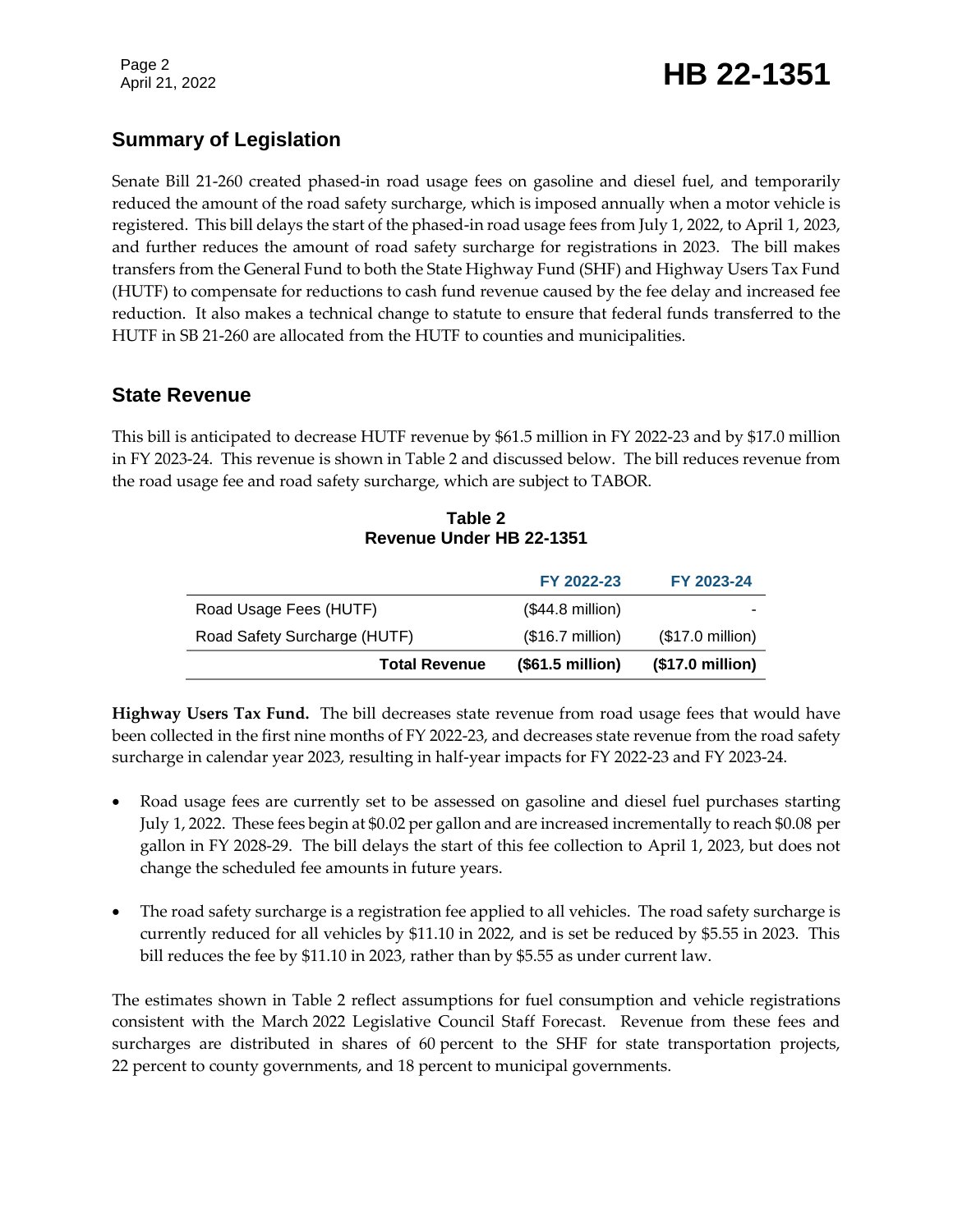# Page 2<br>April 21, 2022 **HB 22-1351**

# **Summary of Legislation**

Senate Bill 21-260 created phased-in road usage fees on gasoline and diesel fuel, and temporarily reduced the amount of the road safety surcharge, which is imposed annually when a motor vehicle is registered. This bill delays the start of the phased-in road usage fees from July 1, 2022, to April 1, 2023, and further reduces the amount of road safety surcharge for registrations in 2023. The bill makes transfers from the General Fund to both the State Highway Fund (SHF) and Highway Users Tax Fund (HUTF) to compensate for reductions to cash fund revenue caused by the fee delay and increased fee reduction. It also makes a technical change to statute to ensure that federal funds transferred to the HUTF in SB 21-260 are allocated from the HUTF to counties and municipalities.

## **State Revenue**

This bill is anticipated to decrease HUTF revenue by \$61.5 million in FY 2022-23 and by \$17.0 million in FY 2023-24. This revenue is shown in Table 2 and discussed below. The bill reduces revenue from the road usage fee and road safety surcharge, which are subject to TABOR.

| Table 2                  |  |
|--------------------------|--|
| Revenue Under HB 22-1351 |  |

|                              | FY 2022-23                | FY 2023-24       |
|------------------------------|---------------------------|------------------|
| Road Usage Fees (HUTF)       | $($44.8 \text{ million})$ |                  |
| Road Safety Surcharge (HUTF) | $($16.7 \text{ million})$ | (\$17.0 million) |
| <b>Total Revenue</b>         | (\$61.5 million)          | (\$17.0 million) |

**Highway Users Tax Fund.** The bill decreases state revenue from road usage fees that would have been collected in the first nine months of FY 2022-23, and decreases state revenue from the road safety surcharge in calendar year 2023, resulting in half-year impacts for FY 2022-23 and FY 2023-24.

- Road usage fees are currently set to be assessed on gasoline and diesel fuel purchases starting July 1, 2022. These fees begin at \$0.02 per gallon and are increased incrementally to reach \$0.08 per gallon in FY 2028-29. The bill delays the start of this fee collection to April 1, 2023, but does not change the scheduled fee amounts in future years.
- The road safety surcharge is a registration fee applied to all vehicles. The road safety surcharge is currently reduced for all vehicles by \$11.10 in 2022, and is set be reduced by \$5.55 in 2023. This bill reduces the fee by \$11.10 in 2023, rather than by \$5.55 as under current law.

The estimates shown in Table 2 reflect assumptions for fuel consumption and vehicle registrations consistent with the March 2022 Legislative Council Staff Forecast. Revenue from these fees and surcharges are distributed in shares of 60 percent to the SHF for state transportation projects, 22 percent to county governments, and 18 percent to municipal governments.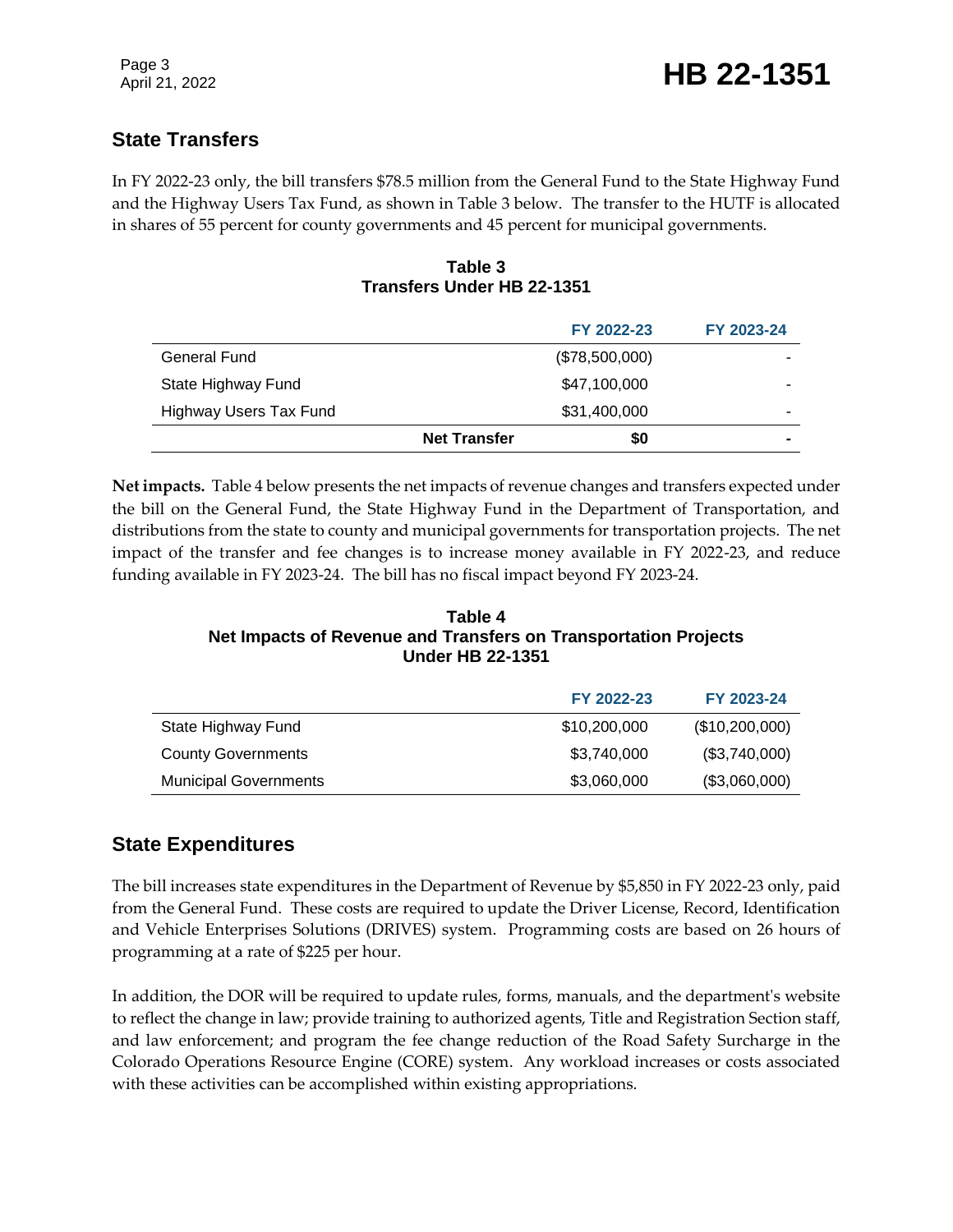# **State Transfers**

In FY 2022-23 only, the bill transfers \$78.5 million from the General Fund to the State Highway Fund and the Highway Users Tax Fund, as shown in Table 3 below. The transfer to the HUTF is allocated in shares of 55 percent for county governments and 45 percent for municipal governments.

#### **Table 3 Transfers Under HB 22-1351**

|                        |                     | FY 2022-23     | FY 2023-24 |
|------------------------|---------------------|----------------|------------|
| <b>General Fund</b>    |                     | (\$78,500,000) |            |
| State Highway Fund     |                     | \$47,100,000   |            |
| Highway Users Tax Fund |                     | \$31,400,000   |            |
|                        | <b>Net Transfer</b> | \$0            |            |

**Net impacts.** Table 4 below presents the net impacts of revenue changes and transfers expected under the bill on the General Fund, the State Highway Fund in the Department of Transportation, and distributions from the state to county and municipal governments for transportation projects. The net impact of the transfer and fee changes is to increase money available in FY 2022-23, and reduce funding available in FY 2023-24. The bill has no fiscal impact beyond FY 2023-24.

#### **Table 4 Net Impacts of Revenue and Transfers on Transportation Projects Under HB 22-1351**

|                              | FY 2022-23   | FY 2023-24     |
|------------------------------|--------------|----------------|
| State Highway Fund           | \$10,200,000 | (\$10,200,000) |
| <b>County Governments</b>    | \$3,740,000  | (\$3,740,000)  |
| <b>Municipal Governments</b> | \$3,060,000  | (\$3,060,000)  |

# **State Expenditures**

The bill increases state expenditures in the Department of Revenue by \$5,850 in FY 2022-23 only, paid from the General Fund. These costs are required to update the Driver License, Record, Identification and Vehicle Enterprises Solutions (DRIVES) system. Programming costs are based on 26 hours of programming at a rate of \$225 per hour.

In addition, the DOR will be required to update rules, forms, manuals, and the department's website to reflect the change in law; provide training to authorized agents, Title and Registration Section staff, and law enforcement; and program the fee change reduction of the Road Safety Surcharge in the Colorado Operations Resource Engine (CORE) system. Any workload increases or costs associated with these activities can be accomplished within existing appropriations.